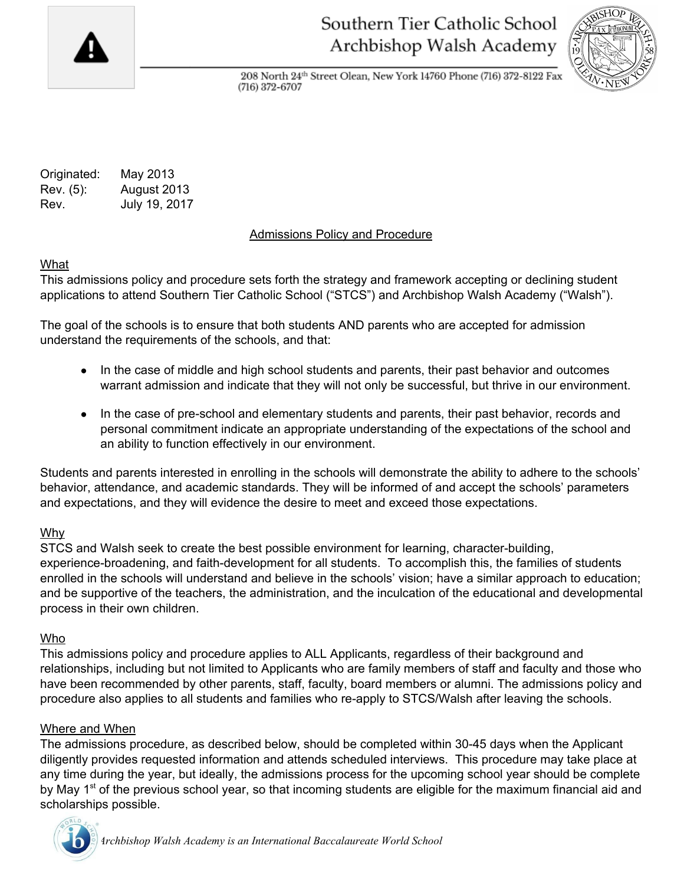

# Southern Tier Catholic School Archbishop Walsh Academy



208 North 24th Street Olean, New York 14760 Phone (716) 372-8122 Fax  $(716)$  372-6707

Originated: May 2013 Rev. (5): August 2013 Rev. July 19, 2017

## Admissions Policy and Procedure

## What

This admissions policy and procedure sets forth the strategy and framework accepting or declining student applications to attend Southern Tier Catholic School ("STCS") and Archbishop Walsh Academy ("Walsh").

The goal of the schools is to ensure that both students AND parents who are accepted for admission understand the requirements of the schools, and that:

- In the case of middle and high school students and parents, their past behavior and outcomes warrant admission and indicate that they will not only be successful, but thrive in our environment.
- In the case of pre-school and elementary students and parents, their past behavior, records and personal commitment indicate an appropriate understanding of the expectations of the school and an ability to function effectively in our environment.

Students and parents interested in enrolling in the schools will demonstrate the ability to adhere to the schools' behavior, attendance, and academic standards. They will be informed of and accept the schools' parameters and expectations, and they will evidence the desire to meet and exceed those expectations.

## Why

STCS and Walsh seek to create the best possible environment for learning, character-building, experience-broadening, and faith-development for all students. To accomplish this, the families of students enrolled in the schools will understand and believe in the schools' vision; have a similar approach to education; and be supportive of the teachers, the administration, and the inculcation of the educational and developmental process in their own children.

#### Who

This admissions policy and procedure applies to ALL Applicants, regardless of their background and relationships, including but not limited to Applicants who are family members of staff and faculty and those who have been recommended by other parents, staff, faculty, board members or alumni. The admissions policy and procedure also applies to all students and families who re-apply to STCS/Walsh after leaving the schools.

## Where and When

The admissions procedure, as described below, should be completed within 30-45 days when the Applicant diligently provides requested information and attends scheduled interviews. This procedure may take place at any time during the year, but ideally, the admissions process for the upcoming school year should be complete by May 1<sup>st</sup> of the previous school year, so that incoming students are eligible for the maximum financial aid and scholarships possible.

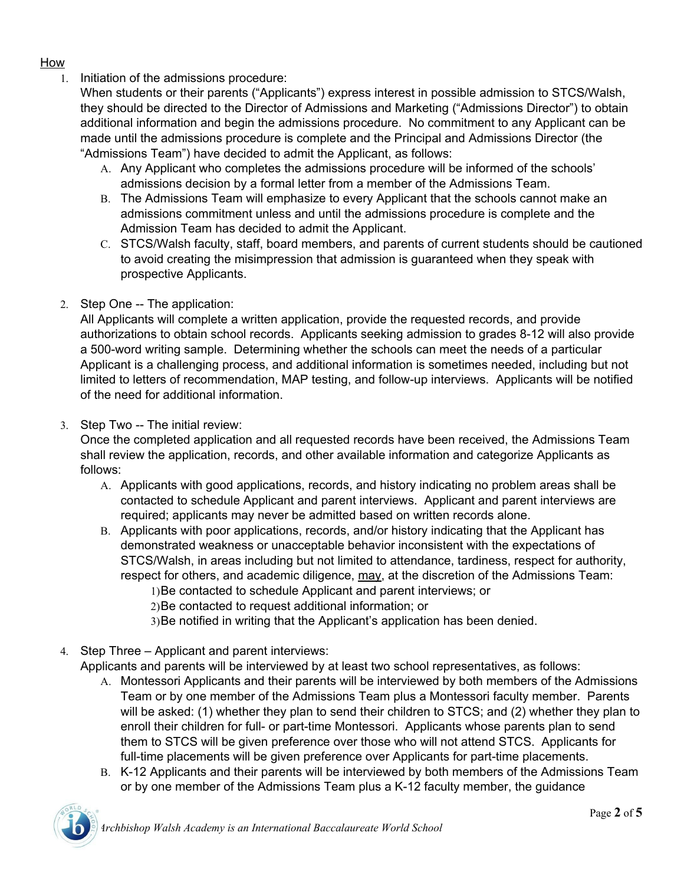#### How

1. Initiation of the admissions procedure:

When students or their parents ("Applicants") express interest in possible admission to STCS/Walsh, they should be directed to the Director of Admissions and Marketing ("Admissions Director") to obtain additional information and begin the admissions procedure. No commitment to any Applicant can be made until the admissions procedure is complete and the Principal and Admissions Director (the "Admissions Team") have decided to admit the Applicant, as follows:

- A. Any Applicant who completes the admissions procedure will be informed of the schools' admissions decision by a formal letter from a member of the Admissions Team.
- B. The Admissions Team will emphasize to every Applicant that the schools cannot make an admissions commitment unless and until the admissions procedure is complete and the Admission Team has decided to admit the Applicant.
- C. STCS/Walsh faculty, staff, board members, and parents of current students should be cautioned to avoid creating the misimpression that admission is guaranteed when they speak with prospective Applicants.
- 2. Step One -- The application:

All Applicants will complete a written application, provide the requested records, and provide authorizations to obtain school records. Applicants seeking admission to grades 8-12 will also provide a 500-word writing sample. Determining whether the schools can meet the needs of a particular Applicant is a challenging process, and additional information is sometimes needed, including but not limited to letters of recommendation, MAP testing, and follow-up interviews. Applicants will be notified of the need for additional information.

3. Step Two -- The initial review:

Once the completed application and all requested records have been received, the Admissions Team shall review the application, records, and other available information and categorize Applicants as follows:

- A. Applicants with good applications, records, and history indicating no problem areas shall be contacted to schedule Applicant and parent interviews. Applicant and parent interviews are required; applicants may never be admitted based on written records alone.
- B. Applicants with poor applications, records, and/or history indicating that the Applicant has demonstrated weakness or unacceptable behavior inconsistent with the expectations of STCS/Walsh, in areas including but not limited to attendance, tardiness, respect for authority, respect for others, and academic diligence, may, at the discretion of the Admissions Team: 1)Be contacted to schedule Applicant and parent interviews; or

2)Be contacted to request additional information; or

- 3)Be notified in writing that the Applicant's application has been denied.
- 4. Step Three Applicant and parent interviews:

Applicants and parents will be interviewed by at least two school representatives, as follows:

- A. Montessori Applicants and their parents will be interviewed by both members of the Admissions Team or by one member of the Admissions Team plus a Montessori faculty member. Parents will be asked: (1) whether they plan to send their children to STCS; and (2) whether they plan to enroll their children for full- or part-time Montessori. Applicants whose parents plan to send them to STCS will be given preference over those who will not attend STCS. Applicants for full-time placements will be given preference over Applicants for part-time placements.
- B. K-12 Applicants and their parents will be interviewed by both members of the Admissions Team or by one member of the Admissions Team plus a K-12 faculty member, the guidance

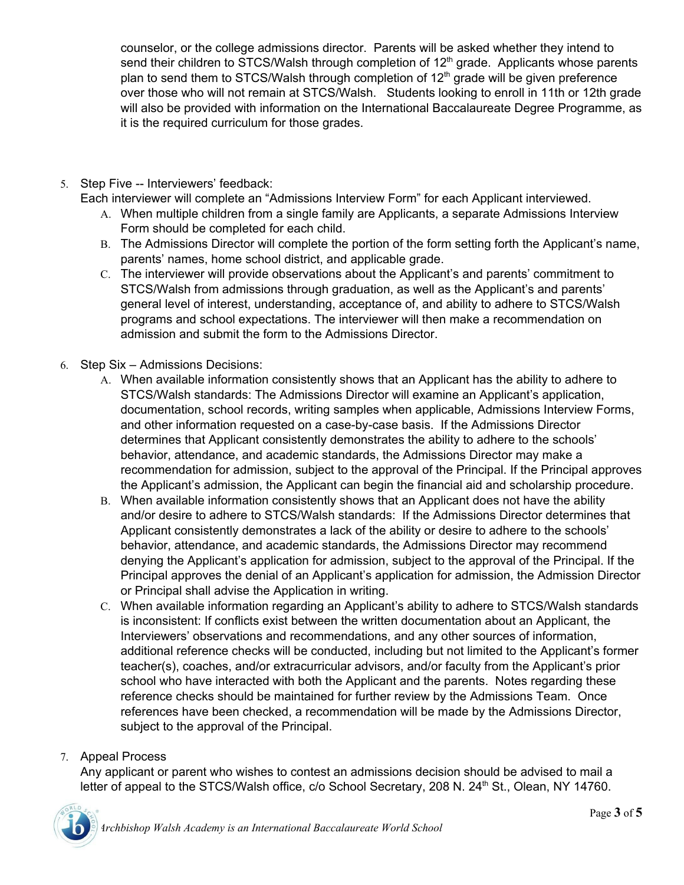counselor, or the college admissions director. Parents will be asked whether they intend to send their children to STCS/Walsh through completion of 12<sup>th</sup> grade. Applicants whose parents plan to send them to STCS/Walsh through completion of 12<sup>th</sup> grade will be given preference over those who will not remain at STCS/Walsh. Students looking to enroll in 11th or 12th grade will also be provided with information on the International Baccalaureate Degree Programme, as it is the required curriculum for those grades.

- 5. Step Five -- Interviewers' feedback:
	- Each interviewer will complete an "Admissions Interview Form" for each Applicant interviewed.
		- A. When multiple children from a single family are Applicants, a separate Admissions Interview Form should be completed for each child.
		- B. The Admissions Director will complete the portion of the form setting forth the Applicant's name, parents' names, home school district, and applicable grade.
		- C. The interviewer will provide observations about the Applicant's and parents' commitment to STCS/Walsh from admissions through graduation, as well as the Applicant's and parents' general level of interest, understanding, acceptance of, and ability to adhere to STCS/Walsh programs and school expectations. The interviewer will then make a recommendation on admission and submit the form to the Admissions Director.
- 6. Step Six Admissions Decisions:
	- A. When available information consistently shows that an Applicant has the ability to adhere to STCS/Walsh standards: The Admissions Director will examine an Applicant's application, documentation, school records, writing samples when applicable, Admissions Interview Forms, and other information requested on a case-by-case basis. If the Admissions Director determines that Applicant consistently demonstrates the ability to adhere to the schools' behavior, attendance, and academic standards, the Admissions Director may make a recommendation for admission, subject to the approval of the Principal. If the Principal approves the Applicant's admission, the Applicant can begin the financial aid and scholarship procedure.
	- B. When available information consistently shows that an Applicant does not have the ability and/or desire to adhere to STCS/Walsh standards: If the Admissions Director determines that Applicant consistently demonstrates a lack of the ability or desire to adhere to the schools' behavior, attendance, and academic standards, the Admissions Director may recommend denying the Applicant's application for admission, subject to the approval of the Principal. If the Principal approves the denial of an Applicant's application for admission, the Admission Director or Principal shall advise the Application in writing.
	- C. When available information regarding an Applicant's ability to adhere to STCS/Walsh standards is inconsistent: If conflicts exist between the written documentation about an Applicant, the Interviewers' observations and recommendations, and any other sources of information, additional reference checks will be conducted, including but not limited to the Applicant's former teacher(s), coaches, and/or extracurricular advisors, and/or faculty from the Applicant's prior school who have interacted with both the Applicant and the parents. Notes regarding these reference checks should be maintained for further review by the Admissions Team. Once references have been checked, a recommendation will be made by the Admissions Director, subject to the approval of the Principal.

## 7. Appeal Process

Any applicant or parent who wishes to contest an admissions decision should be advised to mail a letter of appeal to the STCS/Walsh office, c/o School Secretary, 208 N. 24<sup>th</sup> St., Olean, NY 14760.

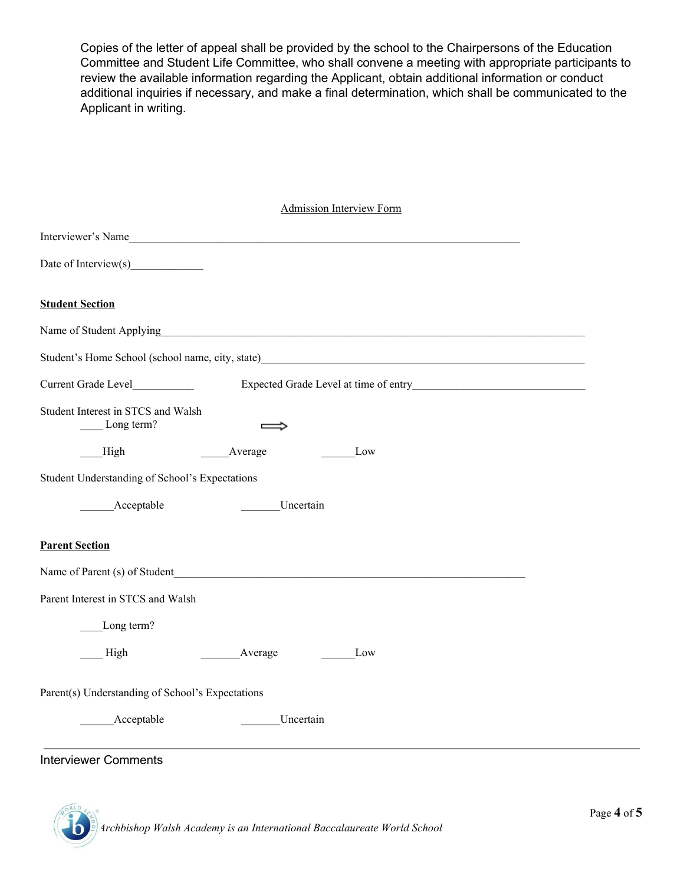Copies of the letter of appeal shall be provided by the school to the Chairpersons of the Education Committee and Student Life Committee, who shall convene a meeting with appropriate participants to review the available information regarding the Applicant, obtain additional information or conduct additional inquiries if necessary, and make a final determination, which shall be communicated to the Applicant in writing.

| <b>Admission Interview Form</b>                              |
|--------------------------------------------------------------|
| Interviewer's Name                                           |
| Date of Interview(s)                                         |
| <b>Student Section</b>                                       |
|                                                              |
|                                                              |
| Expected Grade Level at time of entry<br>Current Grade Level |
| Student Interest in STCS and Walsh<br>Long term?             |
| High<br>Average<br>Low                                       |
| Student Understanding of School's Expectations               |
| Acceptable<br>Uncertain                                      |
| <b>Parent Section</b>                                        |
| Name of Parent (s) of Student                                |
| Parent Interest in STCS and Walsh                            |
| Long term?                                                   |
| High<br>Average<br>Low                                       |
| Parent(s) Understanding of School's Expectations             |
| Acceptable<br>Uncertain                                      |
| Intensieuer Commonte                                         |